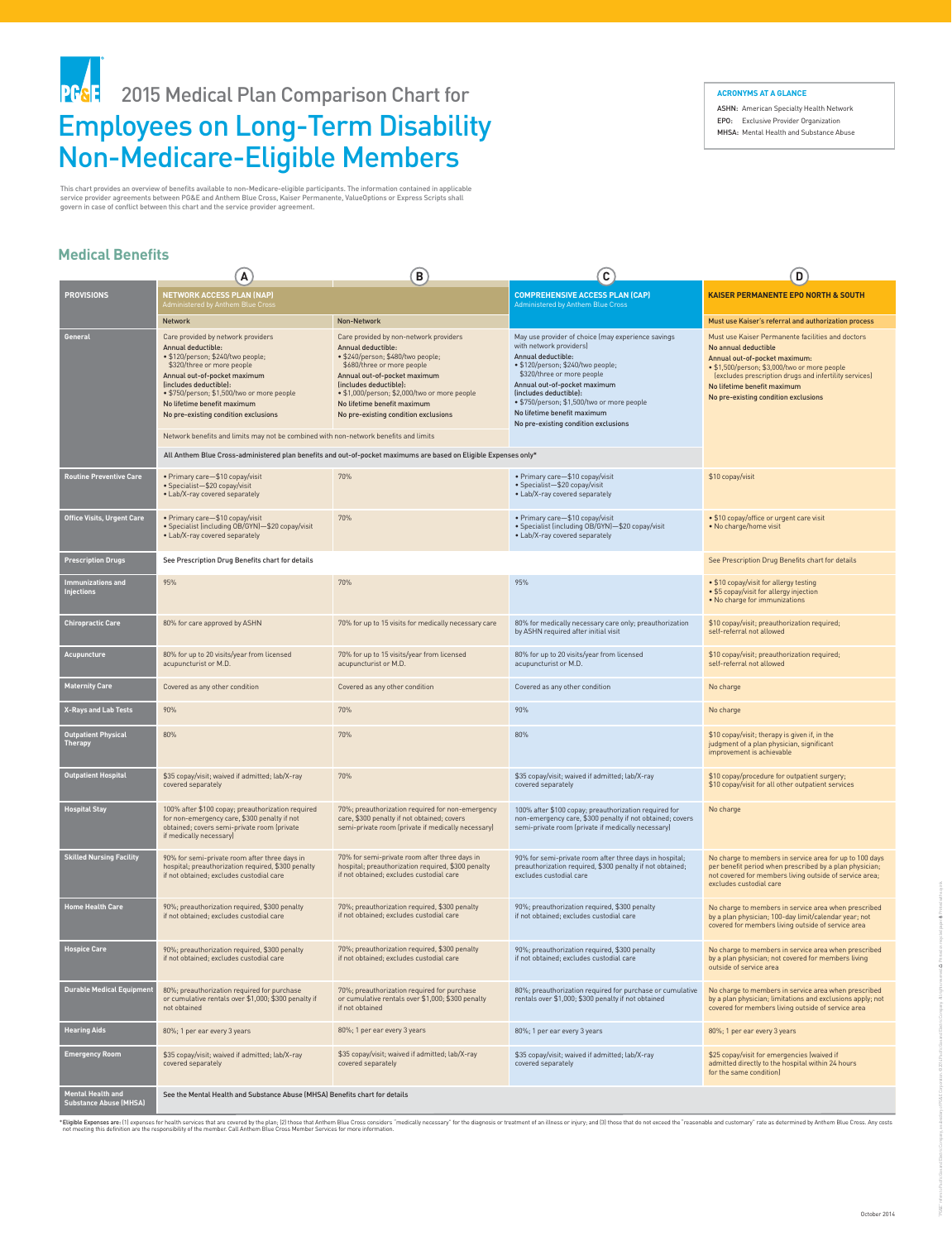\*Eligible Expenses are: (1) expenses for health services that are covered by the plan; (2) those that Anthem Blue Cross considers "medically necessary" for the diagnosis or treatment of an illness or injury; and (3) those not meeting this definition are the responsibility of the member. Call Anthem Blue Cross Member Services for more information.

#### **NETWORK ACCESS PLAN (NAP)**  Administered by Anthem Blue Cross **COMPREHENSIVE ACCESS PLAN (CAP)** Administered by Anthem Blue Cross **KAISER PERMANENTE EPO NORTH & SOUTH** Network Non-Network **PROVISIONS General** Care provided by network providers Annual deductible: • \$120/person; \$240/two people; \$320/three or more people Annual out-of-pocket maximum (includes deductible): • \$750/person; \$1,500/two or more people No lifetime benefit maximum No pre-existing condition exclusions Network benefits and limits may not be combined with non-network benefits and limits All Anthem Blue Cross-administered plan benefits and out-of-pocket maximums are based on Eligible Expenses only\* Care provided by non-network providers Annual deductible: • \$240/person; \$480/two people; \$680/three or more people Annual out-of-pocket maximum (includes deductible): • \$1,000/person; \$2,000/two or more people No lifetime benefit maximum No pre-existing condition exclusions May use provider of choice (may experience savings with network providers) Annual deductible: • \$120/person; \$240/two people; \$320/three or more people Annual out-of-pocket maximum (includes deductible): • \$750/person; \$1,500/two or more people No lifetime benefit maximum No pre-existing condition exclusions Must use Kaiser Permanente facilities and doctors No annual deductible Annual out-of-pocket maximum: • \$1,500/person; \$3,000/two or more people (excludes prescription drugs and infertility services) No lifetime benefit maximum No pre-existing condition exclusions • Primary care—\$10 copay/visit • Specialist—\$20 copay/visit • Lab/X-ray covered separately 70% • Primary care—\$10 copay/visit **Routine Preventive Care** \$10 copay/visit • Specialist—\$20 copay/visit • Lab/X-ray covered separately See Prescription Drug Benefits chart for details **Prescription Drugs** See Prescription Drug Benefits chart for details 70% • Primary care—\$10 copay/visit • Specialist (including OB/GYN)—\$20 copay/visit • Lab/X-ray covered separately • \$10 copay/office or urgent care visit • No charge/home visit **Office Visits, Urgent Care** • Primary care-\$10 copay/visit • Specialist (including OB/GYN)—\$20 copay/visit • Lab/X-ray covered separately 70% 95% • \$10 copay/visit for allergy testing • \$5 copay/visit for allergy injection • No charge for immunizations **Immunizations and Injections** 95% 70% for up to 15 visits/year from licensed acupuncturist or M.D. 80% for up to 20 visits/year from licensed acupuncturist or M.D. \$10 copay/visit; preauthorization required; self-referral not allowed **Acupuncture Acupuncture BO**% for up to 20 visits/year from licensed acupuncturist or M.D. 70% for up to 15 visits for medically necessary care 80% for medically necessary care only; preauthorization by ASHN required after initial visit \$10 copay/visit; preauthorization required; self-referral not allowed **Chiropractic Care 80% for care approved by ASHN** Must use Kaiser's referral and authorization process **A B C D**

# Employees on Long-Term Disability Non-Medicare-Eligible Members PF& 2015 Medical Plan Comparison Chart for

| <b>Maternity Care</b>                              | Covered as any other condition                                                                                                                                              | Covered as any other condition                                                                                                                        | Covered as any other condition                                                                                                                                           | No charge                                                                                                                                                                                                |  |
|----------------------------------------------------|-----------------------------------------------------------------------------------------------------------------------------------------------------------------------------|-------------------------------------------------------------------------------------------------------------------------------------------------------|--------------------------------------------------------------------------------------------------------------------------------------------------------------------------|----------------------------------------------------------------------------------------------------------------------------------------------------------------------------------------------------------|--|
| <b>X-Rays and Lab Tests</b>                        | 90%                                                                                                                                                                         | 70%                                                                                                                                                   | 90%                                                                                                                                                                      | No charge                                                                                                                                                                                                |  |
| <b>Outpatient Physical</b><br><b>Therapy</b>       | 80%                                                                                                                                                                         | 70%                                                                                                                                                   | 80%                                                                                                                                                                      | \$10 copay/visit; therapy is given if, in the<br>judgment of a plan physician, significant<br>improvement is achievable                                                                                  |  |
| <b>Outpatient Hospital</b>                         | \$35 copay/visit; waived if admitted; lab/X-ray<br>covered separately                                                                                                       | 70%                                                                                                                                                   | \$35 copay/visit; waived if admitted; lab/X-ray<br>covered separately                                                                                                    | \$10 copay/procedure for outpatient surgery;<br>\$10 copay/visit for all other outpatient services                                                                                                       |  |
| <b>Hospital Stay</b>                               | 100% after \$100 copay; preauthorization required<br>for non-emergency care, \$300 penalty if not<br>obtained; covers semi-private room (private<br>if medically necessary) | 70%; preauthorization required for non-emergency<br>care, \$300 penalty if not obtained; covers<br>semi-private room (private if medically necessary) | 100% after \$100 copay; preauthorization required for<br>non-emergency care, \$300 penalty if not obtained; covers<br>semi-private room (private if medically necessary) | No charge                                                                                                                                                                                                |  |
| <b>Skilled Nursing Facility</b>                    | 90% for semi-private room after three days in<br>hospital; preauthorization required, \$300 penalty<br>if not obtained; excludes custodial care                             | 70% for semi-private room after three days in<br>hospital; preauthorization required, \$300 penalty<br>if not obtained; excludes custodial care       | 90% for semi-private room after three days in hospital;<br>preauthorization required, \$300 penalty if not obtained;<br>excludes custodial care                          | No charge to members in service area for up to 100 days<br>per benefit period when prescribed by a plan physician;<br>not covered for members living outside of service area;<br>excludes custodial care |  |
| <b>Home Health Care</b>                            | 90%; preauthorization required, \$300 penalty<br>if not obtained; excludes custodial care                                                                                   | 70%; preauthorization required, \$300 penalty<br>if not obtained; excludes custodial care                                                             | 90%; preauthorization required, \$300 penalty<br>if not obtained; excludes custodial care                                                                                | No charge to members in service area when prescribed<br>by a plan physician; 100-day limit/calendar year; not<br>covered for members living outside of service area                                      |  |
| <b>Hospice Care</b>                                | 90%; preauthorization required, \$300 penalty<br>if not obtained; excludes custodial care                                                                                   | 70%; preauthorization required, \$300 penalty<br>if not obtained; excludes custodial care                                                             | 90%; preauthorization required, \$300 penalty<br>if not obtained; excludes custodial care                                                                                | No charge to members in service area when prescribed<br>by a plan physician; not covered for members living<br>outside of service area                                                                   |  |
| <b>Durable Medical Equipment</b>                   | 80%; preauthorization required for purchase<br>or cumulative rentals over \$1,000; \$300 penalty if<br>not obtained                                                         | 70%; preauthorization required for purchase<br>or cumulative rentals over \$1,000; \$300 penalty<br>if not obtained                                   | 80%; preauthorization required for purchase or cumulative<br>rentals over \$1,000; \$300 penalty if not obtained                                                         | No charge to members in service area when prescribed<br>by a plan physician; limitations and exclusions apply; not<br>covered for members living outside of service area                                 |  |
| <b>Hearing Aids</b>                                | 80%; 1 per ear every 3 years                                                                                                                                                | 80%; 1 per ear every 3 years                                                                                                                          | 80%; 1 per ear every 3 years                                                                                                                                             | 80%; 1 per ear every 3 years                                                                                                                                                                             |  |
| <b>Emergency Room</b>                              | \$35 copay/visit; waived if admitted; lab/X-ray<br>covered separately                                                                                                       | \$35 copay/visit; waived if admitted; lab/X-ray<br>covered separately                                                                                 | \$35 copay/visit; waived if admitted; lab/X-ray<br>covered separately                                                                                                    | \$25 copay/visit for emergencies (waived if<br>admitted directly to the hospital within 24 hours<br>for the same condition)                                                                              |  |
| Mental Health and<br><b>Substance Abuse (MHSA)</b> | See the Mental Health and Substance Abuse (MHSA) Benefits chart for details                                                                                                 |                                                                                                                                                       |                                                                                                                                                                          |                                                                                                                                                                                                          |  |

This chart provides an overview of benefits available to non-Medicare-eligible participants. The information contained in applicable service provider agreements between PG&E and Anthem Blue Cross, Kaiser Permanente, ValueOptions or Express Scripts shall govern in case of conflict between this chart and the service provider agreement.

### **Medical Benefits**

**ACRONYMS AT A GLANCE**

ASHN: American Specialty Health Network EPO: Exclusive Provider Organization MHSA: Mental Health and Substance Abuse